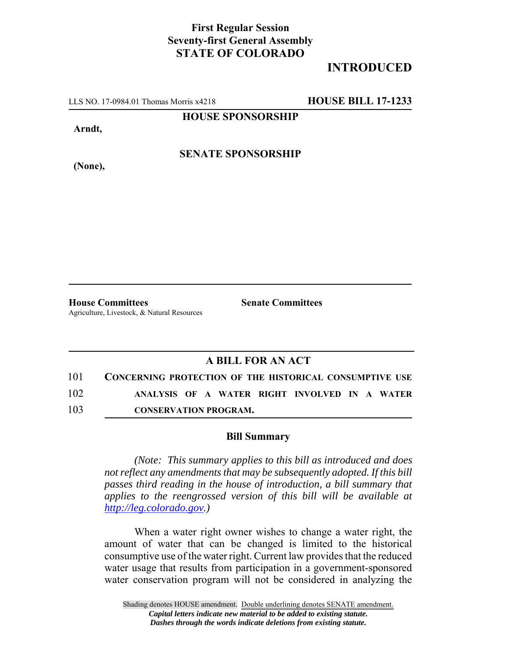## **First Regular Session Seventy-first General Assembly STATE OF COLORADO**

## **INTRODUCED**

LLS NO. 17-0984.01 Thomas Morris x4218 **HOUSE BILL 17-1233**

**HOUSE SPONSORSHIP**

**Arndt,**

**SENATE SPONSORSHIP**

**(None),**

**House Committees Senate Committees** Agriculture, Livestock, & Natural Resources

## **A BILL FOR AN ACT**

| 101 | <b>CONCERNING PROTECTION OF THE HISTORICAL CONSUMPTIVE USE</b> |  |  |                                               |  |
|-----|----------------------------------------------------------------|--|--|-----------------------------------------------|--|
| 102 |                                                                |  |  | ANALYSIS OF A WATER RIGHT INVOLVED IN A WATER |  |

103 **CONSERVATION PROGRAM.**

## **Bill Summary**

*(Note: This summary applies to this bill as introduced and does not reflect any amendments that may be subsequently adopted. If this bill passes third reading in the house of introduction, a bill summary that applies to the reengrossed version of this bill will be available at http://leg.colorado.gov.)*

When a water right owner wishes to change a water right, the amount of water that can be changed is limited to the historical consumptive use of the water right. Current law provides that the reduced water usage that results from participation in a government-sponsored water conservation program will not be considered in analyzing the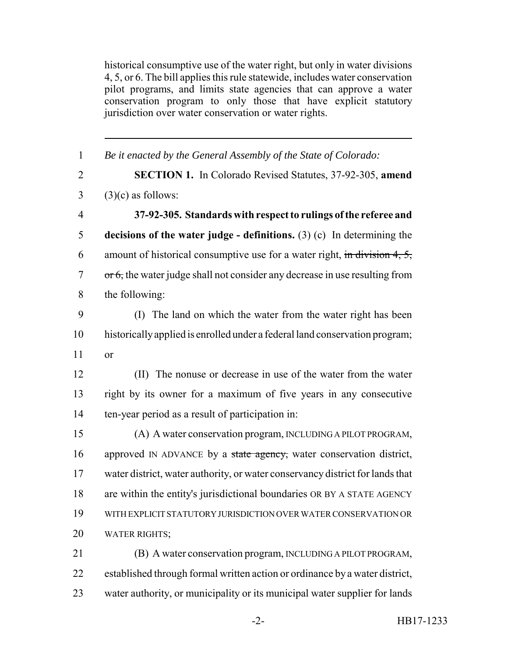historical consumptive use of the water right, but only in water divisions 4, 5, or 6. The bill applies this rule statewide, includes water conservation pilot programs, and limits state agencies that can approve a water conservation program to only those that have explicit statutory jurisdiction over water conservation or water rights.

| $\mathbf{1}$   | Be it enacted by the General Assembly of the State of Colorado:                          |
|----------------|------------------------------------------------------------------------------------------|
| $\overline{2}$ | SECTION 1. In Colorado Revised Statutes, 37-92-305, amend                                |
| 3              | $(3)(c)$ as follows:                                                                     |
| $\overline{4}$ | 37-92-305. Standards with respect to rulings of the referee and                          |
| 5              | decisions of the water judge - definitions. $(3)$ (c) In determining the                 |
| 6              | amount of historical consumptive use for a water right, in division 4, 5,                |
| 7              | $\overline{or}$ 6, the water judge shall not consider any decrease in use resulting from |
| 8              | the following:                                                                           |
| 9              | (I) The land on which the water from the water right has been                            |
| 10             | historically applied is enrolled under a federal land conservation program;              |
| 11             | or                                                                                       |
| 12             | (II) The nonuse or decrease in use of the water from the water                           |
| 13             | right by its owner for a maximum of five years in any consecutive                        |
| 14             | ten-year period as a result of participation in:                                         |
| 15             | (A) A water conservation program, INCLUDING A PILOT PROGRAM,                             |
| 16             | approved IN ADVANCE by a state agency, water conservation district,                      |
| 17             | water district, water authority, or water conservancy district for lands that            |
| 18             | are within the entity's jurisdictional boundaries OR BY A STATE AGENCY                   |
| 19             | WITH EXPLICIT STATUTORY JURISDICTION OVER WATER CONSERVATION OR                          |
| 20             | <b>WATER RIGHTS;</b>                                                                     |
| 21             | (B) A water conservation program, INCLUDING A PILOT PROGRAM,                             |
| 22             | established through formal written action or ordinance by a water district,              |
|                |                                                                                          |